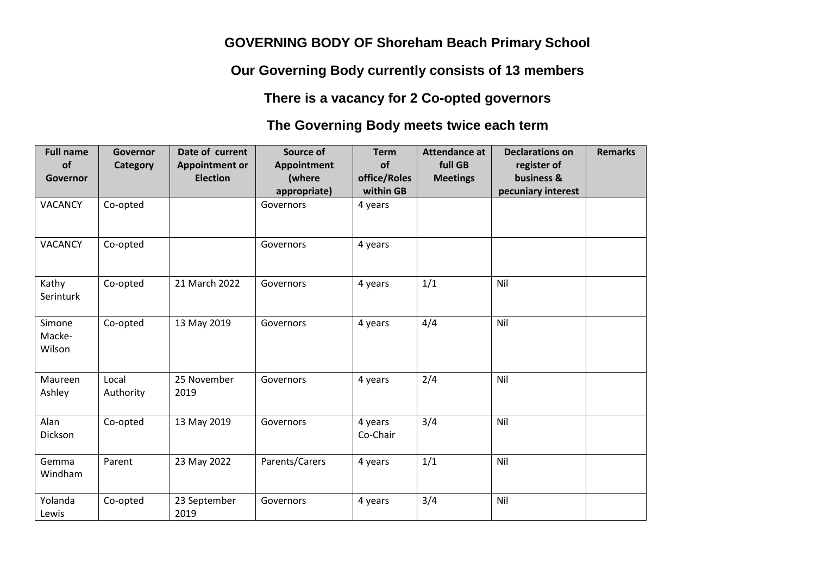## **GOVERNING BODY OF Shoreham Beach Primary School**

**Our Governing Body currently consists of 13 members** 

**There is a vacancy for 2 Co-opted governors**

## **The Governing Body meets twice each term**

| <b>Full name</b><br><b>of</b><br>Governor | Governor<br>Category | Date of current<br><b>Appointment or</b><br><b>Election</b> | Source of<br>Appointment<br>(where<br>appropriate) | <b>Term</b><br>of<br>office/Roles<br>within GB | <b>Attendance at</b><br>full GB<br><b>Meetings</b> | <b>Declarations on</b><br>register of<br>business &<br>pecuniary interest | <b>Remarks</b> |
|-------------------------------------------|----------------------|-------------------------------------------------------------|----------------------------------------------------|------------------------------------------------|----------------------------------------------------|---------------------------------------------------------------------------|----------------|
| <b>VACANCY</b>                            | Co-opted             |                                                             | Governors                                          | 4 years                                        |                                                    |                                                                           |                |
| <b>VACANCY</b>                            | Co-opted             |                                                             | Governors                                          | 4 years                                        |                                                    |                                                                           |                |
| Kathy<br>Serinturk                        | Co-opted             | 21 March 2022                                               | Governors                                          | 4 years                                        | 1/1                                                | Nil                                                                       |                |
| Simone<br>Macke-<br>Wilson                | Co-opted             | 13 May 2019                                                 | Governors                                          | 4 years                                        | 4/4                                                | Nil                                                                       |                |
| Maureen<br>Ashley                         | Local<br>Authority   | 25 November<br>2019                                         | Governors                                          | 4 years                                        | 2/4                                                | Nil                                                                       |                |
| Alan<br>Dickson                           | Co-opted             | 13 May 2019                                                 | Governors                                          | 4 years<br>Co-Chair                            | 3/4                                                | Nil                                                                       |                |
| Gemma<br>Windham                          | Parent               | 23 May 2022                                                 | Parents/Carers                                     | 4 years                                        | 1/1                                                | Nil                                                                       |                |
| Yolanda<br>Lewis                          | Co-opted             | 23 September<br>2019                                        | Governors                                          | 4 years                                        | 3/4                                                | Nil                                                                       |                |